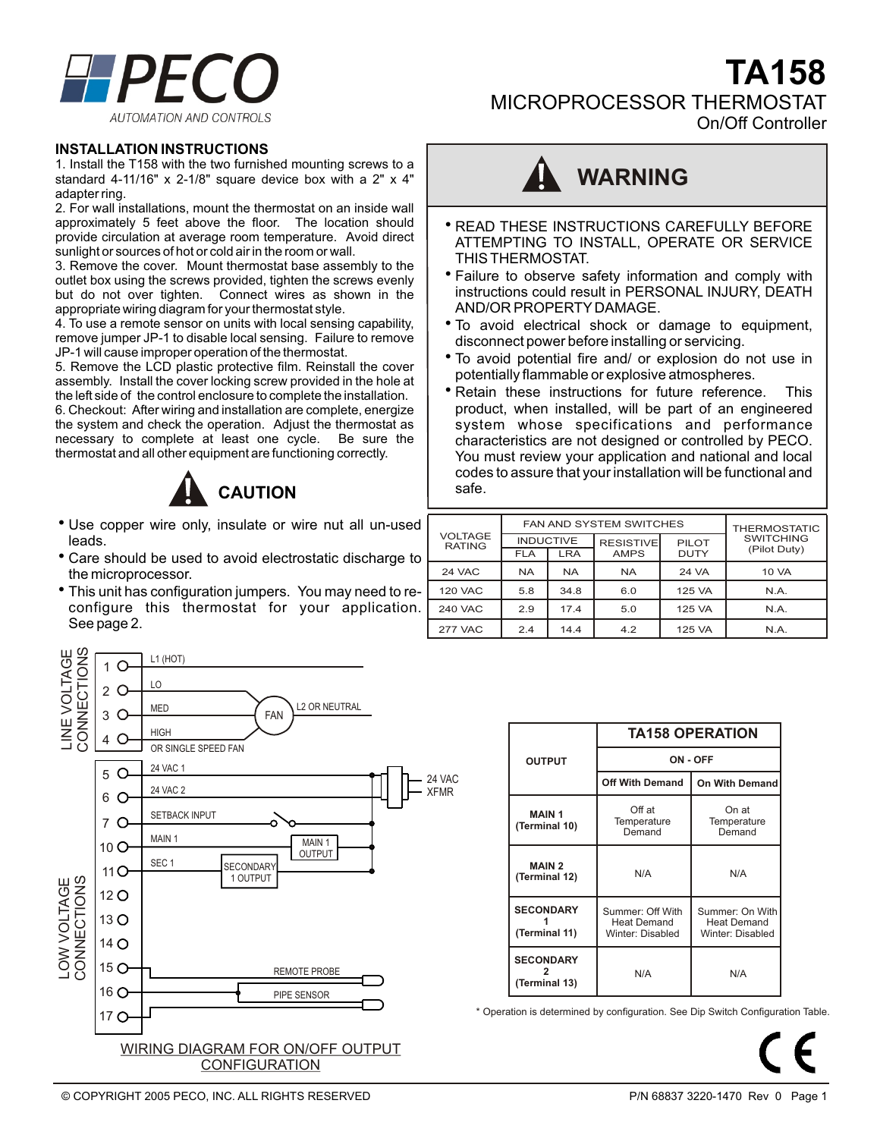

MICROPROCESSOR THERMOSTAT

On/Off Controller

**TA158**

#### **INSTALLATION INSTRUCTIONS**

1. Install the T158 with the two furnished mounting screws to a standard 4-11/16" x 2-1/8" square device box with a 2" x 4" adapter ring.

2. For wall installations, mount the thermostat on an inside wall approximately 5 feet above the floor. The location should provide circulation at average room temperature. Avoid direct sunlight or sources of hot or cold air in the room or wall.

3. Remove the cover. Mount thermostat base assembly to the outlet box using the screws provided, tighten the screws evenly but do not over tighten. Connect wires as shown in the appropriate wiring diagram for your thermostat style.

4. To use a remote sensor on units with local sensing capability, remove jumper JP-1 to disable local sensing. Failure to remove JP-1 will cause improper operation of the thermostat.

5. Remove the LCD plastic protective film. Reinstall the cover assembly. Install the cover locking screw provided in the hole at the left side of the control enclosure to complete the installation.

6. Checkout: After wiring and installation are complete, energize the system and check the operation. Adjust the thermostat as necessary to complete at least one cycle. Be sure the thermostat and all other equipment are functioning correctly.



- Use copper wire only, insulate or wire nut all un-used leads.
- Care should be used to avoid electrostatic discharge to the microprocessor.
- This unit has configuration jumpers. You may need to reconfigure this thermostat for your application. See page 2.





- **READ THESE INSTRUCTIONS CAREFULLY BEFORE** ATTEMPTING TO INSTALL, OPERATE OR SERVICE THIS THERMOSTAT.
- Failure to observe safety information and comply with instructions could result in PERSONAL INJURY, DEATH AND/OR PROPERTY DAMAGE.
- To avoid electrical shock or damage to equipment, disconnect power before installing or servicing.
- To avoid potential fire and/ or explosion do not use in potentially flammable or explosive atmospheres.
- Retain these instructions for future reference. This product, when installed, will be part of an engineered system whose specifications and performance characteristics are not designed or controlled by PECO. You must review your application and national and local codes to assure that your installation will be functional and safe.

| VOLTAGE<br><b>RATING</b> |                  | <b>FAN AND SYSTEM SWITCHES</b> | <b>THERMOSTATIC</b> |             |                  |
|--------------------------|------------------|--------------------------------|---------------------|-------------|------------------|
|                          | <b>INDUCTIVE</b> |                                | <b>RESISTIVE</b>    | PILOT       | <b>SWITCHING</b> |
|                          | <b>FLA</b>       | LRA                            | <b>AMPS</b>         | <b>DUTY</b> | (Pilot Duty)     |
| <b>24 VAC</b>            | <b>NA</b>        | <b>NA</b>                      | <b>NA</b>           | 24 VA       | 10 VA            |
| <b>120 VAC</b>           | 5.8              | 34.8                           | 6.0                 | 125 VA      | N.A.             |
| <b>240 VAC</b>           | 2.9              | 17.4                           | 5.0                 | 125 VA      | N.A.             |
| <b>277 VAC</b>           | 2.4              | 14.4                           | 4.2                 | 125 VA      | N.A.             |

|                                   | <b>TA158 OPERATION</b>                                     |                                                           |  |  |
|-----------------------------------|------------------------------------------------------------|-----------------------------------------------------------|--|--|
| <b>OUTPUT</b>                     | ON - OFF                                                   |                                                           |  |  |
|                                   | <b>Off With Demand</b>                                     | <b>On With Demand</b>                                     |  |  |
| <b>MAIN1</b><br>(Terminal 10)     | Off at<br>Temperature<br>Demand                            | On at<br>Temperature<br>Demand                            |  |  |
| <b>MAIN 2</b><br>(Terminal 12)    | N/A                                                        | N/A                                                       |  |  |
| <b>SECONDARY</b><br>(Terminal 11) | Summer: Off With<br><b>Heat Demand</b><br>Winter: Disabled | Summer: On With<br><b>Heat Demand</b><br>Winter: Disabled |  |  |
| <b>SECONDARY</b><br>(Terminal 13) | N/A                                                        | N/A                                                       |  |  |

\* Operation is determined by configuration. See Dip Switch Configuration Table.